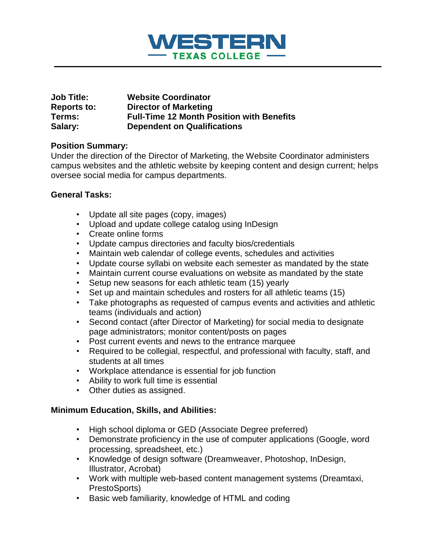

| <b>Job Title:</b>  | <b>Website Coordinator</b>                       |
|--------------------|--------------------------------------------------|
| <b>Reports to:</b> | <b>Director of Marketing</b>                     |
| Terms:             | <b>Full-Time 12 Month Position with Benefits</b> |
| Salary:            | <b>Dependent on Qualifications</b>               |

## **Position Summary:**

Under the direction of the Director of Marketing, the Website Coordinator administers campus websites and the athletic website by keeping content and design current; helps oversee social media for campus departments.

## **General Tasks:**

- Update all site pages (copy, images)
- Upload and update college catalog using InDesign
- Create online forms
- Update campus directories and faculty bios/credentials
- Maintain web calendar of college events, schedules and activities
- Update course syllabi on website each semester as mandated by the state
- Maintain current course evaluations on website as mandated by the state
- Setup new seasons for each athletic team (15) yearly
- Set up and maintain schedules and rosters for all athletic teams (15)
- Take photographs as requested of campus events and activities and athletic teams (individuals and action)
- Second contact (after Director of Marketing) for social media to designate page administrators; monitor content/posts on pages
- Post current events and news to the entrance marquee
- Required to be collegial, respectful, and professional with faculty, staff, and students at all times
- Workplace attendance is essential for job function
- Ability to work full time is essential
- Other duties as assigned.

## **Minimum Education, Skills, and Abilities:**

- High school diploma or GED (Associate Degree preferred)
- Demonstrate proficiency in the use of computer applications (Google, word processing, spreadsheet, etc.)
- Knowledge of design software (Dreamweaver, Photoshop, InDesign, Illustrator, Acrobat)
- Work with multiple web-based content management systems (Dreamtaxi, PrestoSports)
- Basic web familiarity, knowledge of HTML and coding